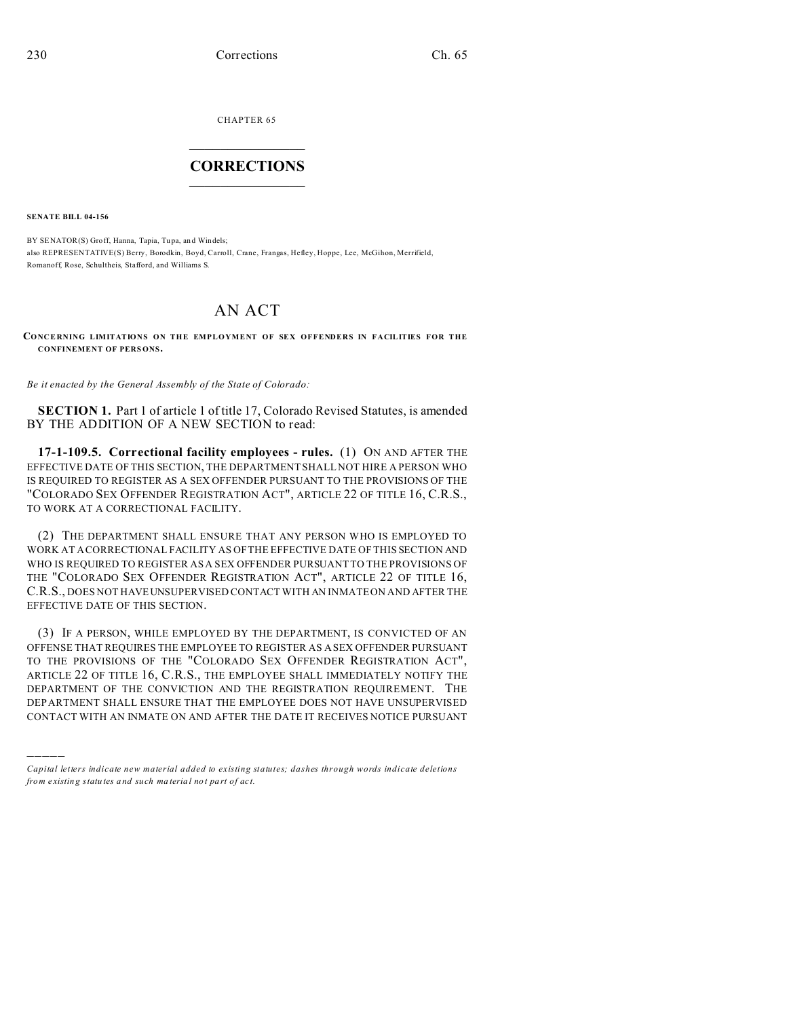CHAPTER 65  $\overline{\phantom{a}}$  , where  $\overline{\phantom{a}}$ 

## **CORRECTIONS**  $\frac{1}{2}$  ,  $\frac{1}{2}$  ,  $\frac{1}{2}$  ,  $\frac{1}{2}$  ,  $\frac{1}{2}$  ,  $\frac{1}{2}$

**SENATE BILL 04-156**

)))))

BY SENATOR(S) Groff, Hanna, Tapia, Tupa, and Windels; also REPRESENTATIVE(S) Berry, Borodkin, Boyd, Carroll, Crane, Frangas, Hefley, Hoppe, Lee, McGihon, Merrifield, Romanoff, Rose, Schultheis, Stafford, and Williams S.

## AN ACT

**CONCERNING LIMITATIONS ON THE EMPLOYMENT OF SEX OFFENDERS IN FACILITIES FOR THE CONFINEMENT OF PERS ONS.**

*Be it enacted by the General Assembly of the State of Colorado:*

**SECTION 1.** Part 1 of article 1 of title 17, Colorado Revised Statutes, is amended BY THE ADDITION OF A NEW SECTION to read:

**17-1-109.5. Correctional facility employees - rules.** (1) ON AND AFTER THE EFFECTIVE DATE OF THIS SECTION, THE DEPARTMENT SHALL NOT HIRE A PERSON WHO IS REQUIRED TO REGISTER AS A SEX OFFENDER PURSUANT TO THE PROVISIONS OF THE "COLORADO SEX OFFENDER REGISTRATION ACT", ARTICLE 22 OF TITLE 16, C.R.S., TO WORK AT A CORRECTIONAL FACILITY.

(2) THE DEPARTMENT SHALL ENSURE THAT ANY PERSON WHO IS EMPLOYED TO WORK AT A CORRECTIONAL FACILITY AS OF THE EFFECTIVE DATE OF THIS SECTION AND WHO IS REQUIRED TO REGISTER AS A SEX OFFENDER PURSUANT TO THE PROVISIONS OF THE "COLORADO SEX OFFENDER REGISTRATION ACT", ARTICLE 22 OF TITLE 16, C.R.S., DOES NOT HAVEUNSUPERVISED CONTACT WITH AN INMATE ON AND AFTER THE EFFECTIVE DATE OF THIS SECTION.

(3) IF A PERSON, WHILE EMPLOYED BY THE DEPARTMENT, IS CONVICTED OF AN OFFENSE THAT REQUIRES THE EMPLOYEE TO REGISTER AS A SEX OFFENDER PURSUANT TO THE PROVISIONS OF THE "COLORADO SEX OFFENDER REGISTRATION ACT", ARTICLE 22 OF TITLE 16, C.R.S., THE EMPLOYEE SHALL IMMEDIATELY NOTIFY THE DEPARTMENT OF THE CONVICTION AND THE REGISTRATION REQUIREMENT. THE DEPARTMENT SHALL ENSURE THAT THE EMPLOYEE DOES NOT HAVE UNSUPERVISED CONTACT WITH AN INMATE ON AND AFTER THE DATE IT RECEIVES NOTICE PURSUANT

*Capital letters indicate new material added to existing statutes; dashes through words indicate deletions from e xistin g statu tes a nd such ma teria l no t pa rt of ac t.*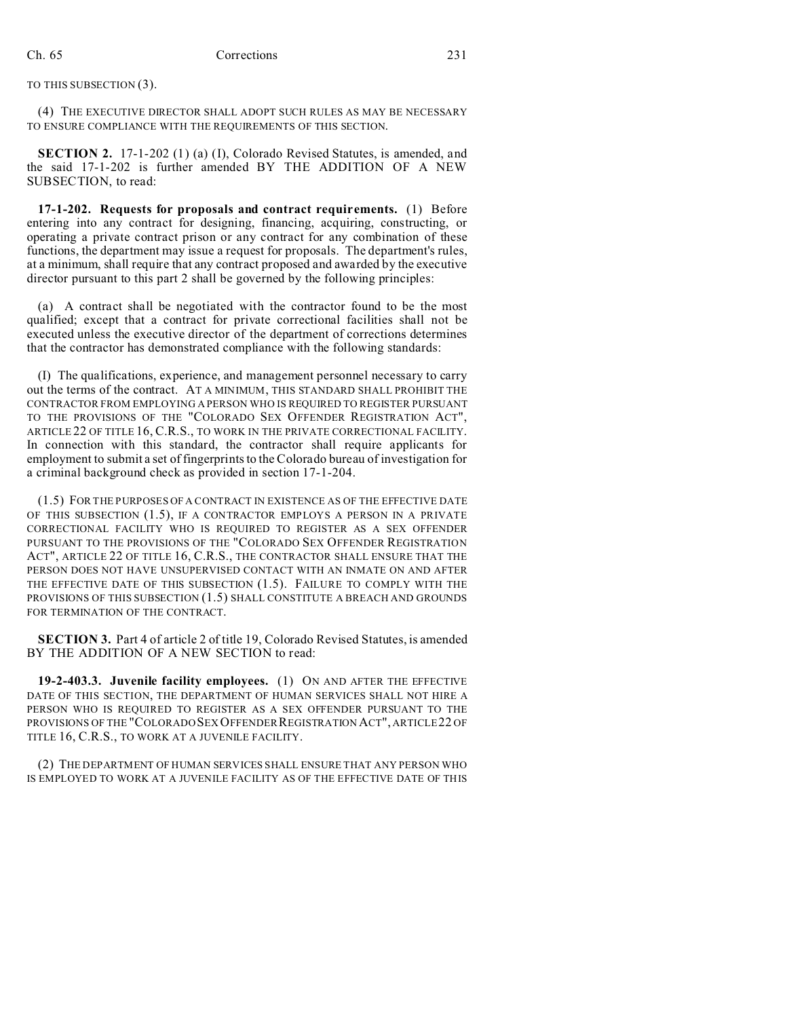TO THIS SUBSECTION (3).

(4) THE EXECUTIVE DIRECTOR SHALL ADOPT SUCH RULES AS MAY BE NECESSARY TO ENSURE COMPLIANCE WITH THE REQUIREMENTS OF THIS SECTION.

**SECTION 2.** 17-1-202 (1) (a) (I), Colorado Revised Statutes, is amended, and the said 17-1-202 is further amended BY THE ADDITION OF A NEW SUBSECTION, to read:

**17-1-202. Requests for proposals and contract requirements.** (1) Before entering into any contract for designing, financing, acquiring, constructing, or operating a private contract prison or any contract for any combination of these functions, the department may issue a request for proposals. The department's rules, at a minimum, shall require that any contract proposed and awarded by the executive director pursuant to this part 2 shall be governed by the following principles:

(a) A contract shall be negotiated with the contractor found to be the most qualified; except that a contract for private correctional facilities shall not be executed unless the executive director of the department of corrections determines that the contractor has demonstrated compliance with the following standards:

(I) The qualifications, experience, and management personnel necessary to carry out the terms of the contract. AT A MINIMUM, THIS STANDARD SHALL PROHIBIT THE CONTRACTOR FROM EMPLOYING A PERSON WHO IS REQUIRED TO REGISTER PURSUANT TO THE PROVISIONS OF THE "COLORADO SEX OFFENDER REGISTRATION ACT", ARTICLE 22 OF TITLE 16, C.R.S., TO WORK IN THE PRIVATE CORRECTIONAL FACILITY. In connection with this standard, the contractor shall require applicants for employment to submit a set of fingerprints to the Colorado bureau of investigation for a criminal background check as provided in section 17-1-204.

(1.5) FOR THE PURPOSES OF A CONTRACT IN EXISTENCE AS OF THE EFFECTIVE DATE OF THIS SUBSECTION (1.5), IF A CONTRACTOR EMPLOYS A PERSON IN A PRIVATE CORRECTIONAL FACILITY WHO IS REQUIRED TO REGISTER AS A SEX OFFENDER PURSUANT TO THE PROVISIONS OF THE "COLORADO SEX OFFENDER REGISTRATION ACT", ARTICLE 22 OF TITLE 16, C.R.S., THE CONTRACTOR SHALL ENSURE THAT THE PERSON DOES NOT HAVE UNSUPERVISED CONTACT WITH AN INMATE ON AND AFTER THE EFFECTIVE DATE OF THIS SUBSECTION (1.5). FAILURE TO COMPLY WITH THE PROVISIONS OF THIS SUBSECTION (1.5) SHALL CONSTITUTE A BREACH AND GROUNDS FOR TERMINATION OF THE CONTRACT.

**SECTION 3.** Part 4 of article 2 of title 19, Colorado Revised Statutes, is amended BY THE ADDITION OF A NEW SECTION to read:

**19-2-403.3. Juvenile facility employees.** (1) ON AND AFTER THE EFFECTIVE DATE OF THIS SECTION, THE DEPARTMENT OF HUMAN SERVICES SHALL NOT HIRE A PERSON WHO IS REQUIRED TO REGISTER AS A SEX OFFENDER PURSUANT TO THE PROVISIONS OF THE "COLORADOSEX OFFENDER REGISTRATION ACT", ARTICLE 22 OF TITLE 16, C.R.S., TO WORK AT A JUVENILE FACILITY.

(2) THE DEPARTMENT OF HUMAN SERVICES SHALL ENSURE THAT ANY PERSON WHO IS EMPLOYED TO WORK AT A JUVENILE FACILITY AS OF THE EFFECTIVE DATE OF THIS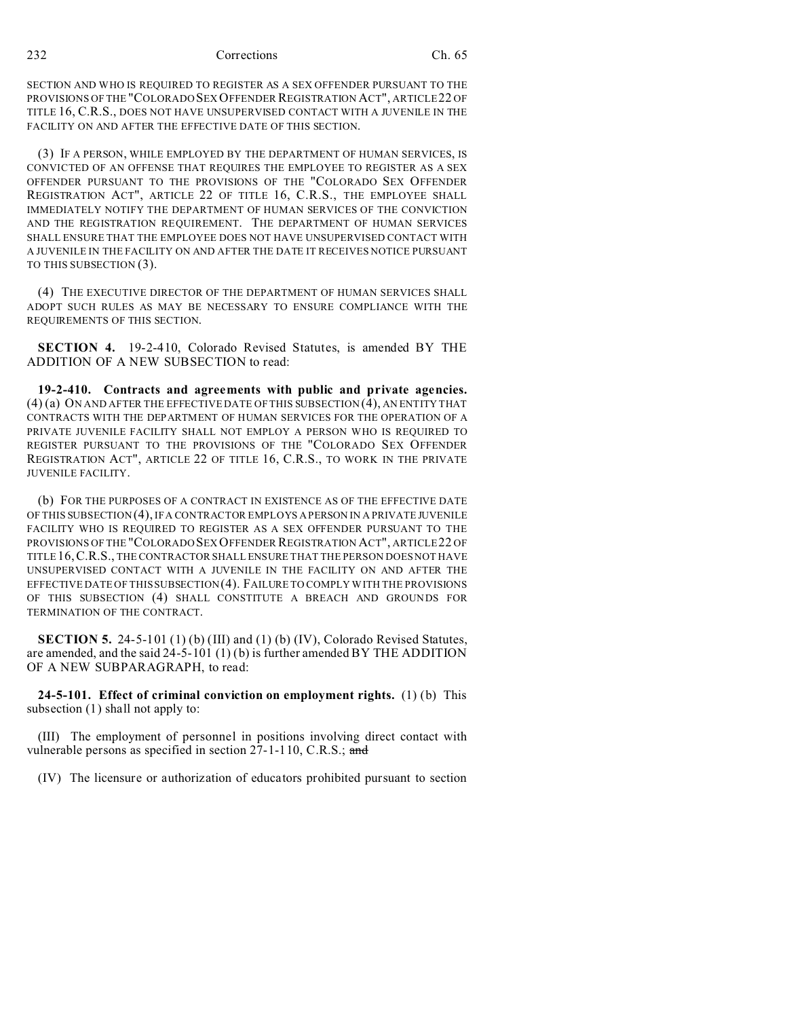232 Corrections Ch. 65

SECTION AND WHO IS REQUIRED TO REGISTER AS A SEX OFFENDER PURSUANT TO THE PROVISIONS OF THE "COLORADO SEX OFFENDER REGISTRATION ACT", ARTICLE22 OF TITLE 16, C.R.S., DOES NOT HAVE UNSUPERVISED CONTACT WITH A JUVENILE IN THE FACILITY ON AND AFTER THE EFFECTIVE DATE OF THIS SECTION.

(3) IF A PERSON, WHILE EMPLOYED BY THE DEPARTMENT OF HUMAN SERVICES, IS CONVICTED OF AN OFFENSE THAT REQUIRES THE EMPLOYEE TO REGISTER AS A SEX OFFENDER PURSUANT TO THE PROVISIONS OF THE "COLORADO SEX OFFENDER REGISTRATION ACT", ARTICLE 22 OF TITLE 16, C.R.S., THE EMPLOYEE SHALL IMMEDIATELY NOTIFY THE DEPARTMENT OF HUMAN SERVICES OF THE CONVICTION AND THE REGISTRATION REQUIREMENT. THE DEPARTMENT OF HUMAN SERVICES SHALL ENSURE THAT THE EMPLOYEE DOES NOT HAVE UNSUPERVISED CONTACT WITH A JUVENILE IN THE FACILITY ON AND AFTER THE DATE IT RECEIVES NOTICE PURSUANT TO THIS SUBSECTION (3).

(4) THE EXECUTIVE DIRECTOR OF THE DEPARTMENT OF HUMAN SERVICES SHALL ADOPT SUCH RULES AS MAY BE NECESSARY TO ENSURE COMPLIANCE WITH THE REQUIREMENTS OF THIS SECTION.

**SECTION 4.** 19-2-410, Colorado Revised Statutes, is amended BY THE ADDITION OF A NEW SUBSECTION to read:

**19-2-410. Contracts and agreements with public and private agencies.** (4) (a) ON AND AFTER THE EFFECTIVE DATE OF THIS SUBSECTION (4), AN ENTITY THAT CONTRACTS WITH THE DEPARTMENT OF HUMAN SERVICES FOR THE OPERATION OF A PRIVATE JUVENILE FACILITY SHALL NOT EMPLOY A PERSON WHO IS REQUIRED TO REGISTER PURSUANT TO THE PROVISIONS OF THE "COLORADO SEX OFFENDER REGISTRATION ACT", ARTICLE 22 OF TITLE 16, C.R.S., TO WORK IN THE PRIVATE JUVENILE FACILITY.

(b) FOR THE PURPOSES OF A CONTRACT IN EXISTENCE AS OF THE EFFECTIVE DATE OF THIS SUBSECTION (4), IF A CONTRACTOR EMPLOYS A PERSON IN A PRIVATE JUVENILE FACILITY WHO IS REQUIRED TO REGISTER AS A SEX OFFENDER PURSUANT TO THE PROVISIONS OF THE "COLORADO SEX OFFENDER REGISTRATION ACT", ARTICLE22 OF TITLE16,C.R.S., THE CONTRACTOR SHALL ENSURE THAT THE PERSON DOES NOT HAVE UNSUPERVISED CONTACT WITH A JUVENILE IN THE FACILITY ON AND AFTER THE EFFECTIVE DATE OF THIS SUBSECTION (4). FAILURE TO COMPLY WITH THE PROVISIONS OF THIS SUBSECTION (4) SHALL CONSTITUTE A BREACH AND GROUNDS FOR TERMINATION OF THE CONTRACT.

**SECTION 5.** 24-5-101 (1) (b) (III) and (1) (b) (IV), Colorado Revised Statutes, are amended, and the said  $24-5-101(1)$  (b) is further amended BY THE ADDITION OF A NEW SUBPARAGRAPH, to read:

**24-5-101. Effect of criminal conviction on employment rights.** (1) (b) This subsection (1) shall not apply to:

(III) The employment of personnel in positions involving direct contact with vulnerable persons as specified in section 27-1-110, C.R.S.; and

(IV) The licensure or authorization of educators prohibited pursuant to section